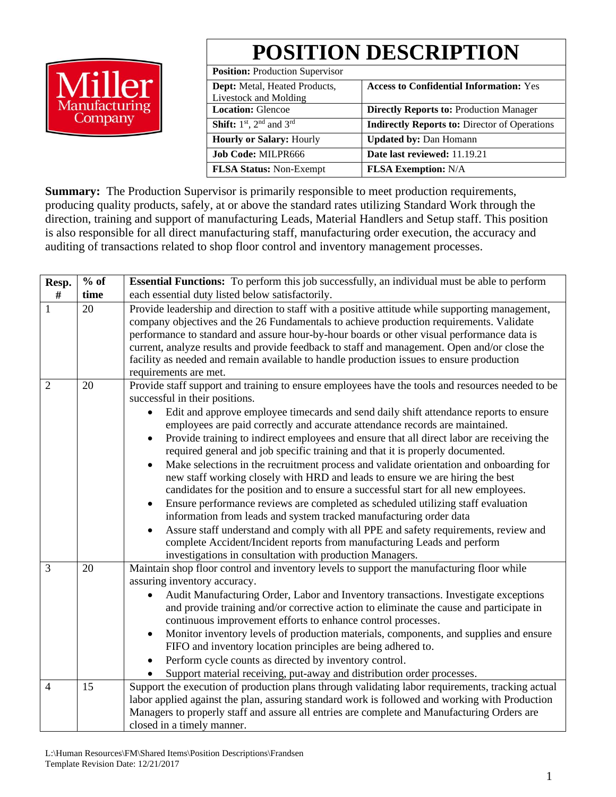

# **POSITION DESCRIPTION**

**Access to Confidential Information:** Yes

**Indirectly Reports to:** Director of Operations

**Position:** Production Supervisor **Dept:** Metal, Heated Products, Livestock and Molding **Location:** Glencoe **Directly Reports to:** Production Manager **Shift:**  $1^{st}$ ,  $2^{nd}$  and  $3^{rd}$ **Hourly or Salary:** Hourly **Updated by:** Dan Homann **Job Code:** MILPR666 **Date last reviewed:** 11.19.21

**Summary:** The Production Supervisor is primarily responsible to meet production requirements, producing quality products, safely, at or above the standard rates utilizing Standard Work through the direction, training and support of manufacturing Leads, Material Handlers and Setup staff. This position is also responsible for all direct manufacturing staff, manufacturing order execution, the accuracy and auditing of transactions related to shop floor control and inventory management processes.

**FLSA Status:** Non-Exempt **FLSA Exemption:** N/A

| Resp.          | $%$ of | <b>Essential Functions:</b> To perform this job successfully, an individual must be able to perform                                                                   |  |  |  |  |  |  |  |
|----------------|--------|-----------------------------------------------------------------------------------------------------------------------------------------------------------------------|--|--|--|--|--|--|--|
| $\#$           | time   | each essential duty listed below satisfactorily.                                                                                                                      |  |  |  |  |  |  |  |
| 1              | 20     | Provide leadership and direction to staff with a positive attitude while supporting management,                                                                       |  |  |  |  |  |  |  |
|                |        | company objectives and the 26 Fundamentals to achieve production requirements. Validate                                                                               |  |  |  |  |  |  |  |
|                |        | performance to standard and assure hour-by-hour boards or other visual performance data is                                                                            |  |  |  |  |  |  |  |
|                |        | current, analyze results and provide feedback to staff and management. Open and/or close the                                                                          |  |  |  |  |  |  |  |
|                |        | facility as needed and remain available to handle production issues to ensure production                                                                              |  |  |  |  |  |  |  |
| $\overline{2}$ | 20     | requirements are met.<br>Provide staff support and training to ensure employees have the tools and resources needed to be                                             |  |  |  |  |  |  |  |
|                |        | successful in their positions.                                                                                                                                        |  |  |  |  |  |  |  |
|                |        | Edit and approve employee timecards and send daily shift attendance reports to ensure<br>employees are paid correctly and accurate attendance records are maintained. |  |  |  |  |  |  |  |
|                |        | Provide training to indirect employees and ensure that all direct labor are receiving the                                                                             |  |  |  |  |  |  |  |
|                |        | required general and job specific training and that it is properly documented.                                                                                        |  |  |  |  |  |  |  |
|                |        | Make selections in the recruitment process and validate orientation and onboarding for                                                                                |  |  |  |  |  |  |  |
|                |        | new staff working closely with HRD and leads to ensure we are hiring the best                                                                                         |  |  |  |  |  |  |  |
|                |        | candidates for the position and to ensure a successful start for all new employees.                                                                                   |  |  |  |  |  |  |  |
|                |        | Ensure performance reviews are completed as scheduled utilizing staff evaluation                                                                                      |  |  |  |  |  |  |  |
|                |        | information from leads and system tracked manufacturing order data                                                                                                    |  |  |  |  |  |  |  |
|                |        | Assure staff understand and comply with all PPE and safety requirements, review and                                                                                   |  |  |  |  |  |  |  |
|                |        | complete Accident/Incident reports from manufacturing Leads and perform                                                                                               |  |  |  |  |  |  |  |
|                |        | investigations in consultation with production Managers.                                                                                                              |  |  |  |  |  |  |  |
| 3              | 20     | Maintain shop floor control and inventory levels to support the manufacturing floor while                                                                             |  |  |  |  |  |  |  |
|                |        | assuring inventory accuracy.                                                                                                                                          |  |  |  |  |  |  |  |
|                |        | Audit Manufacturing Order, Labor and Inventory transactions. Investigate exceptions                                                                                   |  |  |  |  |  |  |  |
|                |        | and provide training and/or corrective action to eliminate the cause and participate in                                                                               |  |  |  |  |  |  |  |
|                |        | continuous improvement efforts to enhance control processes.                                                                                                          |  |  |  |  |  |  |  |
|                |        | Monitor inventory levels of production materials, components, and supplies and ensure<br>$\bullet$                                                                    |  |  |  |  |  |  |  |
|                |        | FIFO and inventory location principles are being adhered to.                                                                                                          |  |  |  |  |  |  |  |
|                |        | Perform cycle counts as directed by inventory control.                                                                                                                |  |  |  |  |  |  |  |
|                |        | Support material receiving, put-away and distribution order processes.                                                                                                |  |  |  |  |  |  |  |
| $\overline{4}$ | 15     | Support the execution of production plans through validating labor requirements, tracking actual                                                                      |  |  |  |  |  |  |  |
|                |        | labor applied against the plan, assuring standard work is followed and working with Production                                                                        |  |  |  |  |  |  |  |
|                |        | Managers to properly staff and assure all entries are complete and Manufacturing Orders are                                                                           |  |  |  |  |  |  |  |
|                |        | closed in a timely manner.                                                                                                                                            |  |  |  |  |  |  |  |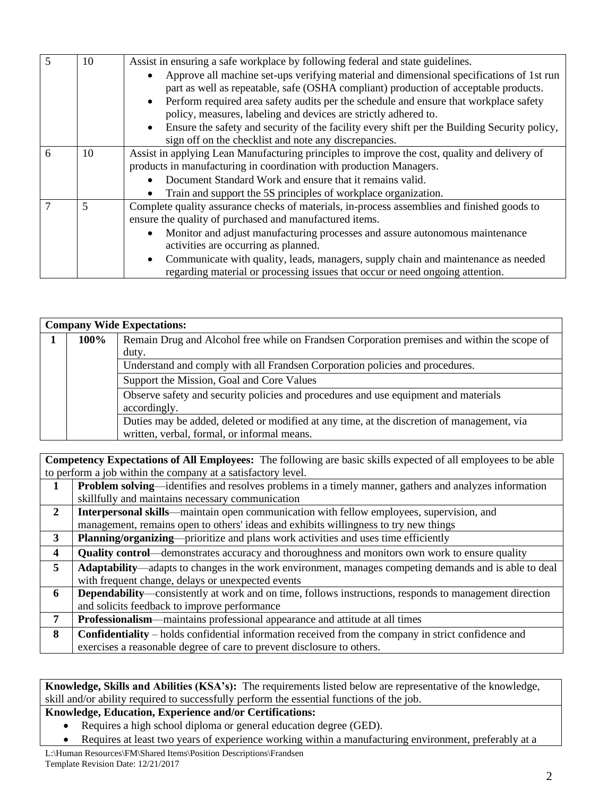|   | 10             | Assist in ensuring a safe workplace by following federal and state guidelines.                     |  |  |  |  |  |  |  |  |  |
|---|----------------|----------------------------------------------------------------------------------------------------|--|--|--|--|--|--|--|--|--|
|   |                | Approve all machine set-ups verifying material and dimensional specifications of 1st run           |  |  |  |  |  |  |  |  |  |
|   |                | part as well as repeatable, safe (OSHA compliant) production of acceptable products.               |  |  |  |  |  |  |  |  |  |
|   |                | Perform required area safety audits per the schedule and ensure that workplace safety<br>$\bullet$ |  |  |  |  |  |  |  |  |  |
|   |                | policy, measures, labeling and devices are strictly adhered to.                                    |  |  |  |  |  |  |  |  |  |
|   |                | • Ensure the safety and security of the facility every shift per the Building Security policy,     |  |  |  |  |  |  |  |  |  |
|   |                | sign off on the checklist and note any discrepancies.                                              |  |  |  |  |  |  |  |  |  |
| 6 | 10             | Assist in applying Lean Manufacturing principles to improve the cost, quality and delivery of      |  |  |  |  |  |  |  |  |  |
|   |                | products in manufacturing in coordination with production Managers.                                |  |  |  |  |  |  |  |  |  |
|   |                | Document Standard Work and ensure that it remains valid.                                           |  |  |  |  |  |  |  |  |  |
|   |                | Train and support the 5S principles of workplace organization.                                     |  |  |  |  |  |  |  |  |  |
|   | $\overline{5}$ | Complete quality assurance checks of materials, in-process assemblies and finished goods to        |  |  |  |  |  |  |  |  |  |
|   |                | ensure the quality of purchased and manufactured items.                                            |  |  |  |  |  |  |  |  |  |
|   |                | Monitor and adjust manufacturing processes and assure autonomous maintenance<br>$\bullet$          |  |  |  |  |  |  |  |  |  |
|   |                | activities are occurring as planned.                                                               |  |  |  |  |  |  |  |  |  |
|   |                | Communicate with quality, leads, managers, supply chain and maintenance as needed<br>$\bullet$     |  |  |  |  |  |  |  |  |  |
|   |                | regarding material or processing issues that occur or need ongoing attention.                      |  |  |  |  |  |  |  |  |  |

| <b>Company Wide Expectations:</b> |                                                                                             |  |  |  |  |  |  |  |  |  |
|-----------------------------------|---------------------------------------------------------------------------------------------|--|--|--|--|--|--|--|--|--|
| 100%                              | Remain Drug and Alcohol free while on Frandsen Corporation premises and within the scope of |  |  |  |  |  |  |  |  |  |
|                                   | duty.                                                                                       |  |  |  |  |  |  |  |  |  |
|                                   | Understand and comply with all Frandsen Corporation policies and procedures.                |  |  |  |  |  |  |  |  |  |
|                                   | Support the Mission, Goal and Core Values                                                   |  |  |  |  |  |  |  |  |  |
|                                   | Observe safety and security policies and procedures and use equipment and materials         |  |  |  |  |  |  |  |  |  |
|                                   | accordingly.                                                                                |  |  |  |  |  |  |  |  |  |
|                                   | Duties may be added, deleted or modified at any time, at the discretion of management, via  |  |  |  |  |  |  |  |  |  |
|                                   | written, verbal, formal, or informal means.                                                 |  |  |  |  |  |  |  |  |  |

**Competency Expectations of All Employees:** The following are basic skills expected of all employees to be able to perform a job within the company at a satisfactory level.

|   | <b>Problem solving—identifies and resolves problems in a timely manner, gathers and analyzes information</b>  |
|---|---------------------------------------------------------------------------------------------------------------|
|   | skillfully and maintains necessary communication                                                              |
| 2 | <b>Interpersonal skills</b> —maintain open communication with fellow employees, supervision, and              |
|   | management, remains open to others' ideas and exhibits willingness to try new things                          |
| 3 | Planning/organizing—prioritize and plans work activities and uses time efficiently                            |
| 4 | <b>Quality control</b> —demonstrates accuracy and thoroughness and monitors own work to ensure quality        |
| 5 | Adaptability—adapts to changes in the work environment, manages competing demands and is able to deal         |
|   | with frequent change, delays or unexpected events                                                             |
| 6 | <b>Dependability—consistently at work and on time, follows instructions, responds to management direction</b> |
|   | and solicits feedback to improve performance                                                                  |
| 7 | Professionalism—maintains professional appearance and attitude at all times                                   |
| 8 | <b>Confidentiality</b> – holds confidential information received from the company in strict confidence and    |
|   | exercises a reasonable degree of care to prevent disclosure to others.                                        |

**Knowledge, Skills and Abilities (KSA's):** The requirements listed below are representative of the knowledge, skill and/or ability required to successfully perform the essential functions of the job.

## **Knowledge, Education, Experience and/or Certifications:**

- Requires a high school diploma or general education degree (GED).
- Requires at least two years of experience working within a manufacturing environment, preferably at a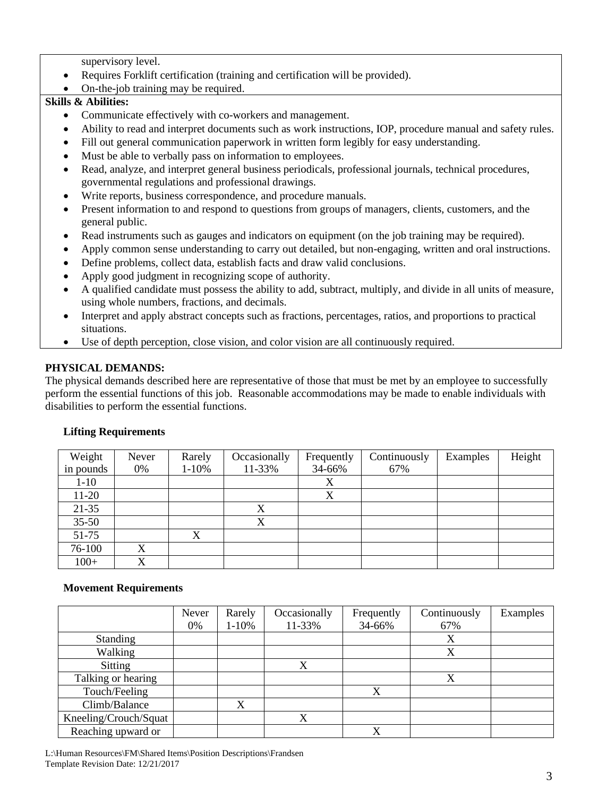supervisory level.

- Requires Forklift certification (training and certification will be provided).
- On-the-job training may be required.

### **Skills & Abilities:**

- Communicate effectively with co-workers and management.
- Ability to read and interpret documents such as work instructions, IOP, procedure manual and safety rules.
- Fill out general communication paperwork in written form legibly for easy understanding.
- Must be able to verbally pass on information to employees.
- Read, analyze, and interpret general business periodicals, professional journals, technical procedures, governmental regulations and professional drawings.
- Write reports, business correspondence, and procedure manuals.
- Present information to and respond to questions from groups of managers, clients, customers, and the general public.
- Read instruments such as gauges and indicators on equipment (on the job training may be required).
- Apply common sense understanding to carry out detailed, but non-engaging, written and oral instructions.
- Define problems, collect data, establish facts and draw valid conclusions.
- Apply good judgment in recognizing scope of authority.
- A qualified candidate must possess the ability to add, subtract, multiply, and divide in all units of measure, using whole numbers, fractions, and decimals.
- Interpret and apply abstract concepts such as fractions, percentages, ratios, and proportions to practical situations.
- Use of depth perception, close vision, and color vision are all continuously required.

## **PHYSICAL DEMANDS:**

The physical demands described here are representative of those that must be met by an employee to successfully perform the essential functions of this job. Reasonable accommodations may be made to enable individuals with disabilities to perform the essential functions.

| Weight    | Never | Rarely    | Occasionally | Frequently | Continuously | Examples | Height |
|-----------|-------|-----------|--------------|------------|--------------|----------|--------|
| in pounds | 0%    | $1 - 10%$ | 11-33%       | 34-66%     | 67%          |          |        |
| $1 - 10$  |       |           |              | X          |              |          |        |
| $11-20$   |       |           |              | X          |              |          |        |
| $21 - 35$ |       |           | X            |            |              |          |        |
| $35 - 50$ |       |           | X            |            |              |          |        |
| 51-75     |       | X         |              |            |              |          |        |
| 76-100    | X     |           |              |            |              |          |        |
| $100+$    | X     |           |              |            |              |          |        |

## **Lifting Requirements**

#### **Movement Requirements**

|                       | Never<br>0% | Rarely<br>$1 - 10%$ | Occasionally<br>11-33% | Frequently<br>34-66% | Continuously<br>67% | Examples |
|-----------------------|-------------|---------------------|------------------------|----------------------|---------------------|----------|
| Standing              |             |                     |                        |                      | Х                   |          |
| Walking               |             |                     |                        |                      | X                   |          |
| <b>Sitting</b>        |             |                     | X                      |                      |                     |          |
| Talking or hearing    |             |                     |                        |                      | X                   |          |
| Touch/Feeling         |             |                     |                        | X                    |                     |          |
| Climb/Balance         |             | X                   |                        |                      |                     |          |
| Kneeling/Crouch/Squat |             |                     | X                      |                      |                     |          |
| Reaching upward or    |             |                     |                        | X                    |                     |          |